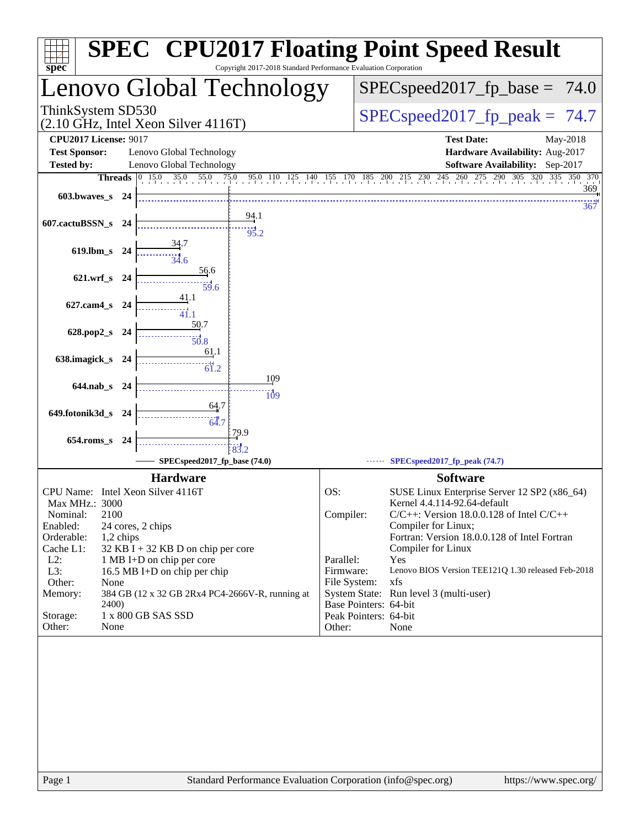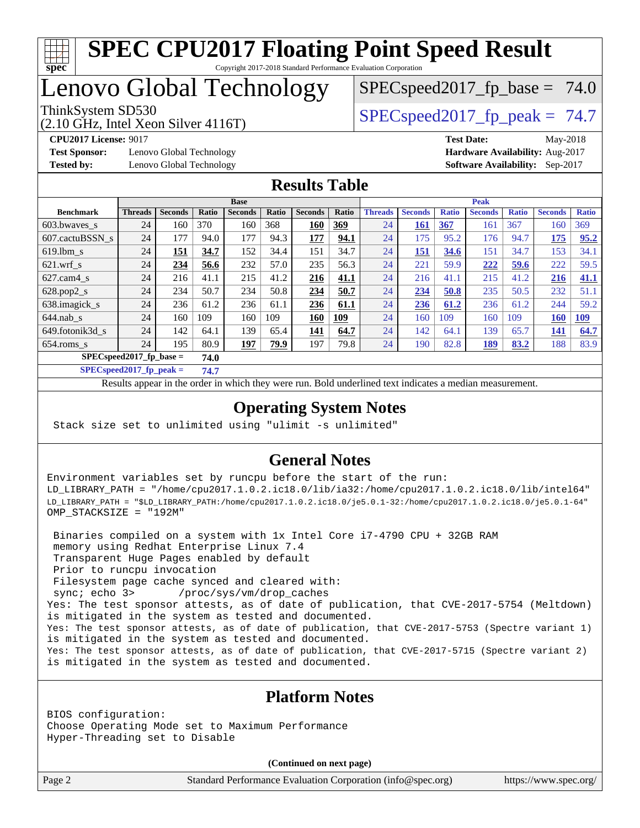

# Lenovo Global Technology

ThinkSystem SD530  $SPEC speed2017$  fp\_peak = 74.7

 $SPECspeed2017_fp\_base = 74.0$ 

(2.10 GHz, Intel Xeon Silver 4116T)

**[Test Sponsor:](http://www.spec.org/auto/cpu2017/Docs/result-fields.html#TestSponsor)** Lenovo Global Technology **[Hardware Availability:](http://www.spec.org/auto/cpu2017/Docs/result-fields.html#HardwareAvailability)** Aug-2017 **[Tested by:](http://www.spec.org/auto/cpu2017/Docs/result-fields.html#Testedby)** Lenovo Global Technology **[Software Availability:](http://www.spec.org/auto/cpu2017/Docs/result-fields.html#SoftwareAvailability)** Sep-2017

**[CPU2017 License:](http://www.spec.org/auto/cpu2017/Docs/result-fields.html#CPU2017License)** 9017 **[Test Date:](http://www.spec.org/auto/cpu2017/Docs/result-fields.html#TestDate)** May-2018

### **[Results Table](http://www.spec.org/auto/cpu2017/Docs/result-fields.html#ResultsTable)**

|                  | <b>Base</b>                        |                |       |                | <b>Peak</b> |                |            |                |                |              |                |              |                |              |
|------------------|------------------------------------|----------------|-------|----------------|-------------|----------------|------------|----------------|----------------|--------------|----------------|--------------|----------------|--------------|
| <b>Benchmark</b> | <b>Threads</b>                     | <b>Seconds</b> | Ratio | <b>Seconds</b> | Ratio       | <b>Seconds</b> | Ratio      | <b>Threads</b> | <b>Seconds</b> | <b>Ratio</b> | <b>Seconds</b> | <b>Ratio</b> | <b>Seconds</b> | <b>Ratio</b> |
| 603.bwaves_s     | 24                                 | 160            | 370   | 160            | 368         | 160            | 369        | 24             | 161            | <b>367</b>   | 161            | 367          | 160            | 369          |
| 607.cactuBSSN s  | 24                                 | 177            | 94.0  | 177            | 94.3        | 177            | 94.1       | 24             | 175            | 95.2         | 176            | 94.7         | 175            | 95.2         |
| $619.1$ bm s     | 24                                 | 151            | 34.7  | 152            | 34.4        | 151            | 34.7       | 24             | 151            | 34.6         | 151            | 34.7         | 153            | 34.1         |
| $621$ .wrf s     | 24                                 | 234            | 56.6  | 232            | 57.0        | 235            | 56.3       | 24             | 221            | 59.9         | 222            | 59.6         | 222            | 59.5         |
| $627$ .cam $4$ s | 24                                 | 216            | 41.1  | 215            | 41.2        | 216            | 41.1       | 24             | 216            | 41.1         | 215            | 41.2         | 216            | 41.1         |
| $628.pop2_s$     | 24                                 | 234            | 50.7  | 234            | 50.8        | 234            | 50.7       | 24             | 234            | 50.8         | 235            | 50.5         | 232            | 51.1         |
| 638.imagick_s    | 24                                 | 236            | 61.2  | 236            | 61.1        | 236            | 61.1       | 24             | 236            | 61.2         | 236            | 61.2         | 244            | 59.2         |
| $644$ .nab s     | 24                                 | 160            | 109   | 160            | 109         | 160            | <b>109</b> | 24             | 160            | 109          | 160            | 109          | 160            | 109          |
| 649.fotonik3d s  | 24                                 | 142            | 64.1  | 139            | 65.4        | 141            | 64.7       | 24             | 142            | 64.1         | 139            | 65.7         | 141            | 64.7         |
| $654$ .roms s    | 24                                 | 195            | 80.9  | <u> 197</u>    | 79.9        | 197            | 79.8       | 24             | 190            | 82.8         | <u>189</u>     | 83.2         | 188            | 83.9         |
|                  | $SPEC speed2017$ fp base =<br>74.0 |                |       |                |             |                |            |                |                |              |                |              |                |              |

**[SPECspeed2017\\_fp\\_peak =](http://www.spec.org/auto/cpu2017/Docs/result-fields.html#SPECspeed2017fppeak) 74.7**

Results appear in the [order in which they were run.](http://www.spec.org/auto/cpu2017/Docs/result-fields.html#RunOrder) Bold underlined text [indicates a median measurement](http://www.spec.org/auto/cpu2017/Docs/result-fields.html#Median).

### **[Operating System Notes](http://www.spec.org/auto/cpu2017/Docs/result-fields.html#OperatingSystemNotes)**

Stack size set to unlimited using "ulimit -s unlimited"

### **[General Notes](http://www.spec.org/auto/cpu2017/Docs/result-fields.html#GeneralNotes)**

Environment variables set by runcpu before the start of the run: LD\_LIBRARY\_PATH = "/home/cpu2017.1.0.2.ic18.0/lib/ia32:/home/cpu2017.1.0.2.ic18.0/lib/intel64" LD\_LIBRARY\_PATH = "\$LD\_LIBRARY\_PATH:/home/cpu2017.1.0.2.ic18.0/je5.0.1-32:/home/cpu2017.1.0.2.ic18.0/je5.0.1-64" OMP\_STACKSIZE = "192M"

 Binaries compiled on a system with 1x Intel Core i7-4790 CPU + 32GB RAM memory using Redhat Enterprise Linux 7.4 Transparent Huge Pages enabled by default Prior to runcpu invocation Filesystem page cache synced and cleared with: sync; echo 3> /proc/sys/vm/drop\_caches Yes: The test sponsor attests, as of date of publication, that CVE-2017-5754 (Meltdown) is mitigated in the system as tested and documented. Yes: The test sponsor attests, as of date of publication, that CVE-2017-5753 (Spectre variant 1) is mitigated in the system as tested and documented. Yes: The test sponsor attests, as of date of publication, that CVE-2017-5715 (Spectre variant 2) is mitigated in the system as tested and documented.

### **[Platform Notes](http://www.spec.org/auto/cpu2017/Docs/result-fields.html#PlatformNotes)**

BIOS configuration: Choose Operating Mode set to Maximum Performance Hyper-Threading set to Disable

**(Continued on next page)**

Page 2 Standard Performance Evaluation Corporation [\(info@spec.org\)](mailto:info@spec.org) <https://www.spec.org/>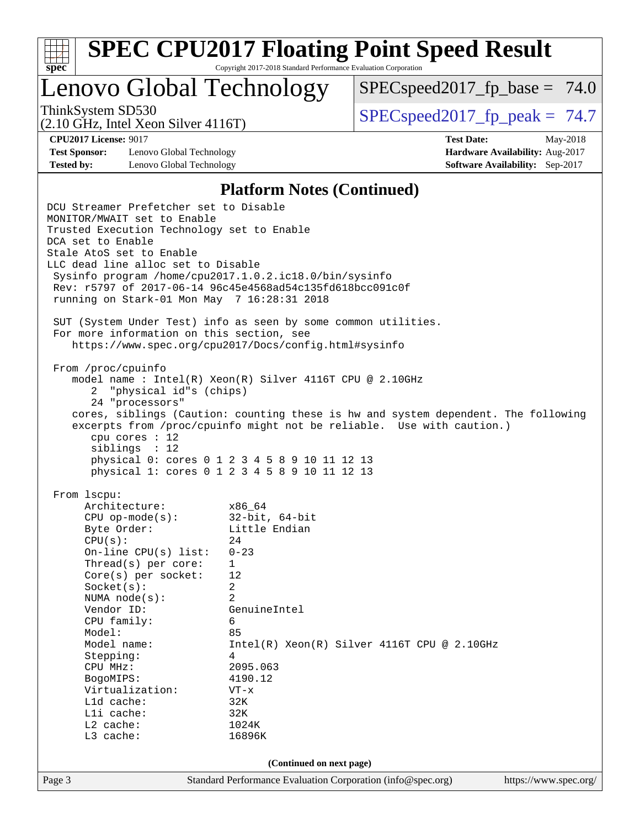| v.<br>t.<br>٠, |  |  |  |  |  |  |  |
|----------------|--|--|--|--|--|--|--|

Lenovo Global Technology

 $SPECspeed2017_fp\_base = 74.0$ 

(2.10 GHz, Intel Xeon Silver 4116T)

ThinkSystem SD530  $SPEC speed2017$  fp\_peak = 74.7

**[Test Sponsor:](http://www.spec.org/auto/cpu2017/Docs/result-fields.html#TestSponsor)** Lenovo Global Technology **[Hardware Availability:](http://www.spec.org/auto/cpu2017/Docs/result-fields.html#HardwareAvailability)** Aug-2017 **[Tested by:](http://www.spec.org/auto/cpu2017/Docs/result-fields.html#Testedby)** Lenovo Global Technology **[Software Availability:](http://www.spec.org/auto/cpu2017/Docs/result-fields.html#SoftwareAvailability)** Sep-2017

**[CPU2017 License:](http://www.spec.org/auto/cpu2017/Docs/result-fields.html#CPU2017License)** 9017 **[Test Date:](http://www.spec.org/auto/cpu2017/Docs/result-fields.html#TestDate)** May-2018

#### **[Platform Notes \(Continued\)](http://www.spec.org/auto/cpu2017/Docs/result-fields.html#PlatformNotes)**

Page 3 Standard Performance Evaluation Corporation [\(info@spec.org\)](mailto:info@spec.org) <https://www.spec.org/> DCU Streamer Prefetcher set to Disable MONITOR/MWAIT set to Enable Trusted Execution Technology set to Enable DCA set to Enable Stale AtoS set to Enable LLC dead line alloc set to Disable Sysinfo program /home/cpu2017.1.0.2.ic18.0/bin/sysinfo Rev: r5797 of 2017-06-14 96c45e4568ad54c135fd618bcc091c0f running on Stark-01 Mon May 7 16:28:31 2018 SUT (System Under Test) info as seen by some common utilities. For more information on this section, see <https://www.spec.org/cpu2017/Docs/config.html#sysinfo> From /proc/cpuinfo model name : Intel(R) Xeon(R) Silver 4116T CPU @ 2.10GHz 2 "physical id"s (chips) 24 "processors" cores, siblings (Caution: counting these is hw and system dependent. The following excerpts from /proc/cpuinfo might not be reliable. Use with caution.) cpu cores : 12 siblings : 12 physical 0: cores 0 1 2 3 4 5 8 9 10 11 12 13 physical 1: cores 0 1 2 3 4 5 8 9 10 11 12 13 From lscpu: Architecture: x86\_64 CPU op-mode(s): 32-bit, 64-bit Byte Order: Little Endian  $CPU(s):$  24 On-line CPU(s) list: 0-23 Thread(s) per core: 1 Core(s) per socket: 12 Socket(s): 2 NUMA node(s): 2 Vendor ID: GenuineIntel CPU family: 6 Model: 85 Model name: Intel(R) Xeon(R) Silver 4116T CPU @ 2.10GHz Stepping: 4 CPU MHz: 2095.063 BogoMIPS: 4190.12 Virtualization: VT-x L1d cache: 32K<br>
L1i cache: 32K  $L1i$  cache: L2 cache: 1024K L3 cache: 16896K **(Continued on next page)**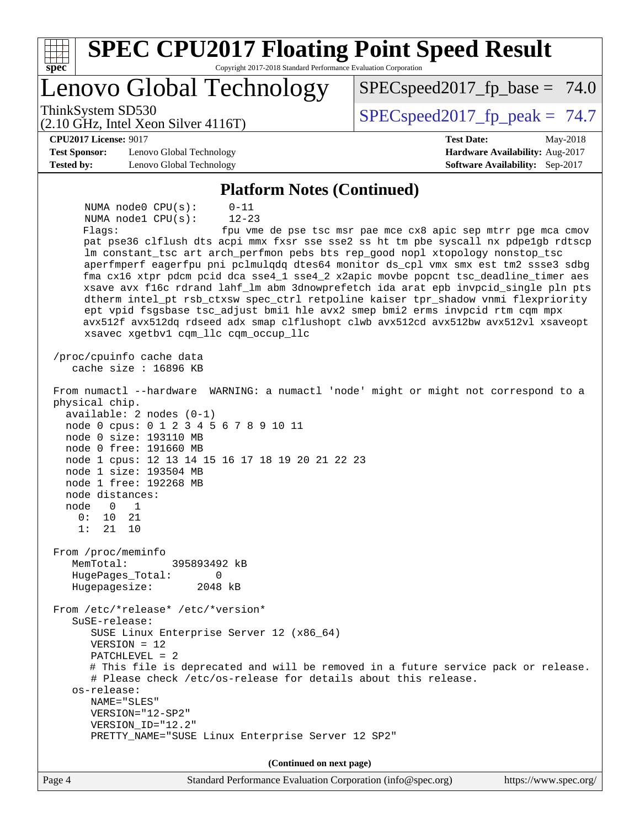| <b>SPEC CPU2017 Floating Point Speed Result</b><br>Spec<br>Copyright 2017-2018 Standard Performance Evaluation Corporation                                                                                                                                                                                                                                                                                                                                                                                                                                                                                                                                                                                                                                                                                                                                      |                                                               |
|-----------------------------------------------------------------------------------------------------------------------------------------------------------------------------------------------------------------------------------------------------------------------------------------------------------------------------------------------------------------------------------------------------------------------------------------------------------------------------------------------------------------------------------------------------------------------------------------------------------------------------------------------------------------------------------------------------------------------------------------------------------------------------------------------------------------------------------------------------------------|---------------------------------------------------------------|
| Lenovo Global Technology                                                                                                                                                                                                                                                                                                                                                                                                                                                                                                                                                                                                                                                                                                                                                                                                                                        | $SPEC speed2017_f p\_base = 74.0$                             |
| ThinkSystem SD530<br>(2.10 GHz, Intel Xeon Silver 4116T)                                                                                                                                                                                                                                                                                                                                                                                                                                                                                                                                                                                                                                                                                                                                                                                                        | $SPEC speed2017_fp\_peak = 74.7$                              |
| <b>CPU2017 License: 9017</b>                                                                                                                                                                                                                                                                                                                                                                                                                                                                                                                                                                                                                                                                                                                                                                                                                                    | <b>Test Date:</b><br>May-2018                                 |
| <b>Test Sponsor:</b><br>Lenovo Global Technology                                                                                                                                                                                                                                                                                                                                                                                                                                                                                                                                                                                                                                                                                                                                                                                                                | Hardware Availability: Aug-2017                               |
| <b>Tested by:</b><br>Lenovo Global Technology                                                                                                                                                                                                                                                                                                                                                                                                                                                                                                                                                                                                                                                                                                                                                                                                                   | <b>Software Availability:</b> Sep-2017                        |
| <b>Platform Notes (Continued)</b>                                                                                                                                                                                                                                                                                                                                                                                                                                                                                                                                                                                                                                                                                                                                                                                                                               |                                                               |
| $0 - 11$<br>NUMA $node0$ $CPU(s)$ :<br>$12 - 23$<br>NUMA nodel CPU(s):<br>Flags:<br>pat pse36 clflush dts acpi mmx fxsr sse sse2 ss ht tm pbe syscall nx pdpelgb rdtscp<br>lm constant_tsc art arch_perfmon pebs bts rep_good nopl xtopology nonstop_tsc<br>aperfmperf eagerfpu pni pclmulqdq dtes64 monitor ds_cpl vmx smx est tm2 ssse3 sdbg<br>fma cx16 xtpr pdcm pcid dca sse4_1 sse4_2 x2apic movbe popcnt tsc_deadline_timer aes<br>xsave avx f16c rdrand lahf_lm abm 3dnowprefetch ida arat epb invpcid_single pln pts<br>dtherm intel_pt rsb_ctxsw spec_ctrl retpoline kaiser tpr_shadow vnmi flexpriority<br>ept vpid fsgsbase tsc_adjust bmil hle avx2 smep bmi2 erms invpcid rtm cqm mpx<br>avx512f avx512dq rdseed adx smap clflushopt clwb avx512cd avx512bw avx512vl xsaveopt<br>xsavec xgetbv1 cqm_llc cqm_occup_llc<br>/proc/cpuinfo cache data | fpu vme de pse tsc msr pae mce cx8 apic sep mtrr pge mca cmov |
| cache size : 16896 KB<br>From numactl --hardware WARNING: a numactl 'node' might or might not correspond to a<br>physical chip.<br>$available: 2 nodes (0-1)$<br>node 0 cpus: 0 1 2 3 4 5 6 7 8 9 10 11<br>node 0 size: 193110 MB<br>node 0 free: 191660 MB<br>node 1 cpus: 12 13 14 15 16 17 18 19 20 21 22 23<br>node 1 size: 193504 MB<br>node 1 free: 192268 MB<br>node distances:<br>node<br>1<br>0<br>0:<br>21<br>10<br>1:<br>21<br>10<br>From /proc/meminfo<br>MemTotal:<br>395893492 kB<br>HugePages_Total:<br>0<br>Hugepagesize:<br>2048 kB                                                                                                                                                                                                                                                                                                            |                                                               |
| From /etc/*release* /etc/*version*<br>SuSE-release:<br>SUSE Linux Enterprise Server 12 (x86_64)<br>$VERSION = 12$<br>$PATCHLEVEL = 2$<br># This file is deprecated and will be removed in a future service pack or release.<br># Please check /etc/os-release for details about this release.<br>os-release:<br>NAME="SLES"<br>VERSION="12-SP2"<br>VERSION_ID="12.2"<br>PRETTY_NAME="SUSE Linux Enterprise Server 12 SP2"                                                                                                                                                                                                                                                                                                                                                                                                                                       |                                                               |
| (Continued on next page)                                                                                                                                                                                                                                                                                                                                                                                                                                                                                                                                                                                                                                                                                                                                                                                                                                        |                                                               |
| Page 4<br>Standard Performance Evaluation Corporation (info@spec.org)                                                                                                                                                                                                                                                                                                                                                                                                                                                                                                                                                                                                                                                                                                                                                                                           | https://www.spec.org/                                         |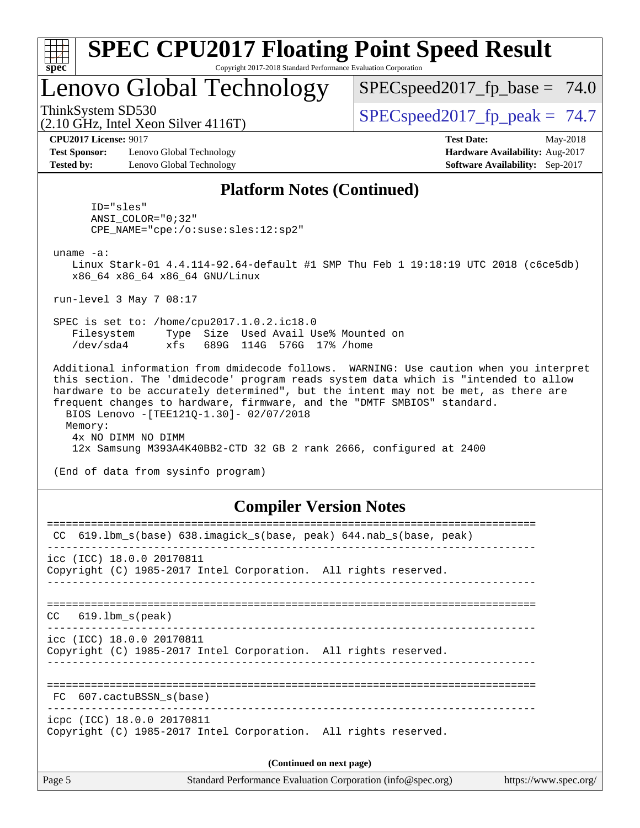| Spec                                                                               | <b>SPEC CPU2017 Floating Point Speed Result</b><br>Copyright 2017-2018 Standard Performance Evaluation Corporation                                                                                                                                                                                                                                                                                    |                                                                                                     |  |  |  |  |
|------------------------------------------------------------------------------------|-------------------------------------------------------------------------------------------------------------------------------------------------------------------------------------------------------------------------------------------------------------------------------------------------------------------------------------------------------------------------------------------------------|-----------------------------------------------------------------------------------------------------|--|--|--|--|
|                                                                                    | Lenovo Global Technology                                                                                                                                                                                                                                                                                                                                                                              | $SPEC speed2017_f p\_base = 74.0$                                                                   |  |  |  |  |
| ThinkSystem SD530<br>$(2.10 \text{ GHz}, \text{Intel Xeon Silver } 4116 \text{T})$ |                                                                                                                                                                                                                                                                                                                                                                                                       | $SPEC speed2017_fp_peak = 74.7$                                                                     |  |  |  |  |
| <b>CPU2017 License: 9017</b><br><b>Test Sponsor:</b><br><b>Tested by:</b>          | Lenovo Global Technology<br>Lenovo Global Technology                                                                                                                                                                                                                                                                                                                                                  | <b>Test Date:</b><br>May-2018<br>Hardware Availability: Aug-2017<br>Software Availability: Sep-2017 |  |  |  |  |
| uname $-a$ :<br>Filesystem<br>/dev/sda4                                            | <b>Platform Notes (Continued)</b><br>ID="sles"<br>$ANSI\_COLOR = "0;32"$<br>$CPE\_NAME = "cpe://o:suse: sles:12:sp2"$<br>Linux Stark-01 4.4.114-92.64-default #1 SMP Thu Feb 1 19:18:19 UTC 2018 (c6ce5db)<br>x86_64 x86_64 x86_64 GNU/Linux<br>run-level $3$ May $7$ 08:17<br>SPEC is set to: /home/cpu2017.1.0.2.ic18.0<br>Type Size Used Avail Use% Mounted on<br>xfs<br>689G 114G 576G 17% / home |                                                                                                     |  |  |  |  |
| Memory:                                                                            | this section. The 'dmidecode' program reads system data which is "intended to allow<br>hardware to be accurately determined", but the intent may not be met, as there are<br>frequent changes to hardware, firmware, and the "DMTF SMBIOS" standard.<br>BIOS Lenovo - [TEE121Q-1.30]- 02/07/2018<br>4x NO DIMM NO DIMM                                                                                | Additional information from dmidecode follows. WARNING: Use caution when you interpret              |  |  |  |  |

12x Samsung M393A4K40BB2-CTD 32 GB 2 rank 2666, configured at 2400

(End of data from sysinfo program)

## **[Compiler Version Notes](http://www.spec.org/auto/cpu2017/Docs/result-fields.html#CompilerVersionNotes)**

| 619.1bm_s(base) 638.imagick_s(base, peak) 644.nab_s(base, peak)<br>CC                         |
|-----------------------------------------------------------------------------------------------|
| icc (ICC) 18.0.0 20170811<br>Copyright (C) 1985-2017 Intel Corporation. All rights reserved.  |
| $CC$ 619.1bm $s$ (peak)                                                                       |
| icc (ICC) 18.0.0 20170811<br>Copyright (C) 1985-2017 Intel Corporation. All rights reserved.  |
| FC 607.cactuBSSN s(base)                                                                      |
| icpc (ICC) 18.0.0 20170811<br>Copyright (C) 1985-2017 Intel Corporation. All rights reserved. |
| (Continued on next page)                                                                      |
|                                                                                               |

Page 5 Standard Performance Evaluation Corporation [\(info@spec.org\)](mailto:info@spec.org) <https://www.spec.org/>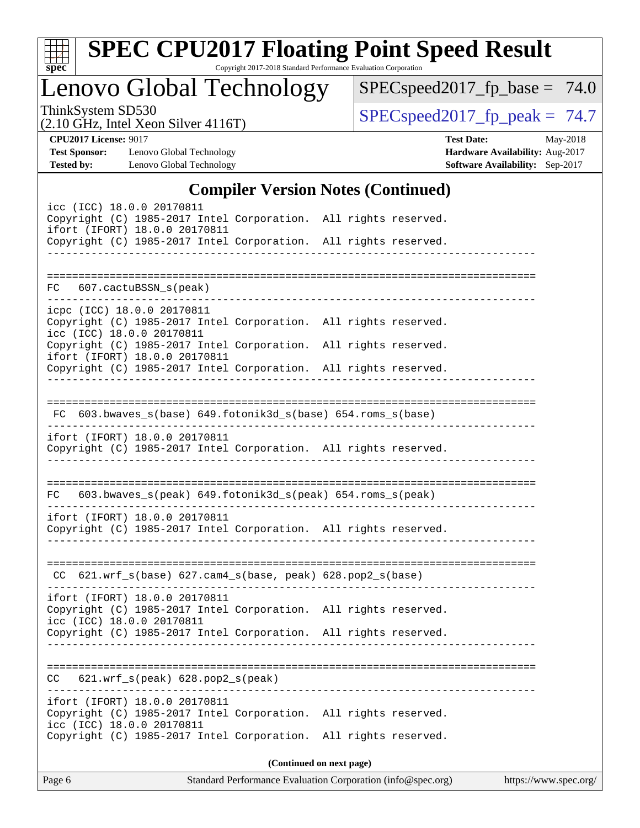| v.<br>ť |  |  |  |  |  |  |  |
|---------|--|--|--|--|--|--|--|

# **[SPEC CPU2017 Floating Point Speed Result](http://www.spec.org/auto/cpu2017/Docs/result-fields.html#SPECCPU2017FloatingPointSpeedResult)**

Copyright 2017-2018 Standard Performance Evaluation Corporation

Lenovo Global Technology

[SPECspeed2017\\_fp\\_base =](http://www.spec.org/auto/cpu2017/Docs/result-fields.html#SPECspeed2017fpbase) 74.0

(2.10 GHz, Intel Xeon Silver 4116T)

ThinkSystem SD530<br>  $(2.10 \text{ GHz})$  Intel Yean Silver 4116T)<br> [SPECspeed2017\\_fp\\_peak =](http://www.spec.org/auto/cpu2017/Docs/result-fields.html#SPECspeed2017fppeak) 74.7

**[Test Sponsor:](http://www.spec.org/auto/cpu2017/Docs/result-fields.html#TestSponsor)** Lenovo Global Technology **[Hardware Availability:](http://www.spec.org/auto/cpu2017/Docs/result-fields.html#HardwareAvailability)** Aug-2017 **[Tested by:](http://www.spec.org/auto/cpu2017/Docs/result-fields.html#Testedby)** Lenovo Global Technology **[Software Availability:](http://www.spec.org/auto/cpu2017/Docs/result-fields.html#SoftwareAvailability)** Sep-2017

**[CPU2017 License:](http://www.spec.org/auto/cpu2017/Docs/result-fields.html#CPU2017License)** 9017 **[Test Date:](http://www.spec.org/auto/cpu2017/Docs/result-fields.html#TestDate)** May-2018

## **[Compiler Version Notes \(Continued\)](http://www.spec.org/auto/cpu2017/Docs/result-fields.html#CompilerVersionNotes)**

| $0.22$ $1.020$ $1.000$<br>icc (ICC) 18.0.0 20170811<br>Copyright (C) 1985-2017 Intel Corporation. All rights reserved.<br>ifort (IFORT) 18.0.0 20170811<br>Copyright (C) 1985-2017 Intel Corporation. All rights reserved. |  |
|----------------------------------------------------------------------------------------------------------------------------------------------------------------------------------------------------------------------------|--|
| FC 607.cactuBSSN_s(peak)                                                                                                                                                                                                   |  |
| icpc (ICC) 18.0.0 20170811<br>Copyright (C) 1985-2017 Intel Corporation. All rights reserved.<br>icc (ICC) 18.0.0 20170811<br>Copyright (C) 1985-2017 Intel Corporation. All rights reserved.                              |  |
| ifort (IFORT) 18.0.0 20170811<br>Copyright (C) 1985-2017 Intel Corporation. All rights reserved.                                                                                                                           |  |
|                                                                                                                                                                                                                            |  |
| $FC$ 603.bwaves_s(base) 649.fotonik3d_s(base) 654.roms_s(base)                                                                                                                                                             |  |
| ifort (IFORT) 18.0.0 20170811<br>Copyright (C) 1985-2017 Intel Corporation. All rights reserved.<br>_______________________________<br>------------------------                                                            |  |
|                                                                                                                                                                                                                            |  |
| FC 603.bwaves_s(peak) 649.fotonik3d_s(peak) 654.roms_s(peak)                                                                                                                                                               |  |
| ifort (IFORT) 18.0.0 20170811<br>Copyright (C) 1985-2017 Intel Corporation. All rights reserved.                                                                                                                           |  |
| CC 621.wrf_s(base) 627.cam4_s(base, peak) 628.pop2_s(base)                                                                                                                                                                 |  |
| ifort (IFORT) 18.0.0 20170811<br>Copyright (C) 1985-2017 Intel Corporation. All rights reserved.<br>icc (ICC) 18.0.0 20170811                                                                                              |  |
| Copyright (C) 1985-2017 Intel Corporation. All rights reserved.                                                                                                                                                            |  |
| $621.wrf_s(peak)$ $628.pop2_s(peak)$<br>CC                                                                                                                                                                                 |  |
| ifort (IFORT) 18.0.0 20170811                                                                                                                                                                                              |  |
| Copyright (C) 1985-2017 Intel Corporation. All rights reserved.<br>icc (ICC) 18.0.0 20170811<br>Copyright (C) 1985-2017 Intel Corporation. All rights reserved.                                                            |  |
| (Continued on next page)                                                                                                                                                                                                   |  |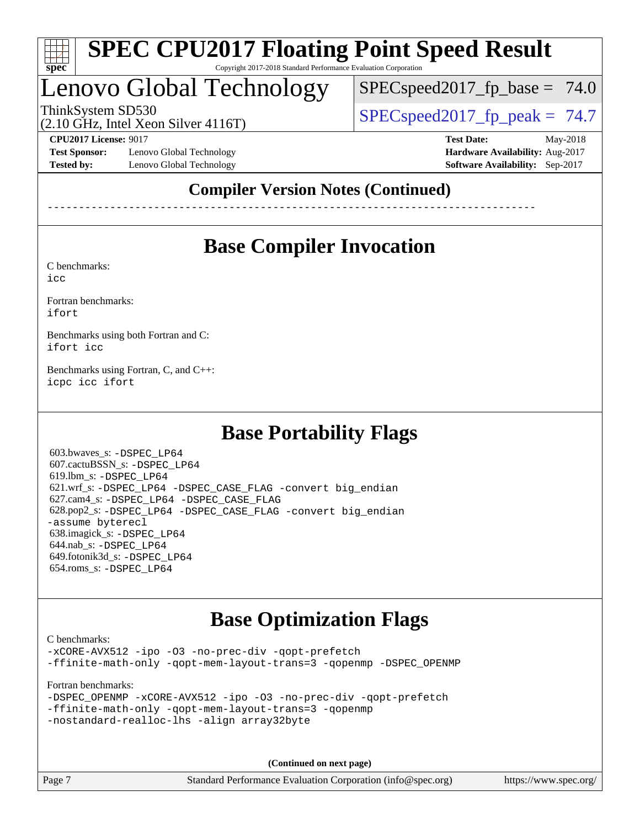

# Lenovo Global Technology

ThinkSystem SD530  $SPEC speed2017$  fp\_peak = 74.7

 $SPECspeed2017_fp\_base = 74.0$ 

(2.10 GHz, Intel Xeon Silver 4116T)

**[Test Sponsor:](http://www.spec.org/auto/cpu2017/Docs/result-fields.html#TestSponsor)** Lenovo Global Technology **[Hardware Availability:](http://www.spec.org/auto/cpu2017/Docs/result-fields.html#HardwareAvailability)** Aug-2017 **[Tested by:](http://www.spec.org/auto/cpu2017/Docs/result-fields.html#Testedby)** Lenovo Global Technology **[Software Availability:](http://www.spec.org/auto/cpu2017/Docs/result-fields.html#SoftwareAvailability)** Sep-2017

**[CPU2017 License:](http://www.spec.org/auto/cpu2017/Docs/result-fields.html#CPU2017License)** 9017 **[Test Date:](http://www.spec.org/auto/cpu2017/Docs/result-fields.html#TestDate)** May-2018

## **[Compiler Version Notes \(Continued\)](http://www.spec.org/auto/cpu2017/Docs/result-fields.html#CompilerVersionNotes)**

------------------------------------------------------------------------------

## **[Base Compiler Invocation](http://www.spec.org/auto/cpu2017/Docs/result-fields.html#BaseCompilerInvocation)**

[C benchmarks](http://www.spec.org/auto/cpu2017/Docs/result-fields.html#Cbenchmarks):

[icc](http://www.spec.org/cpu2017/results/res2018q2/cpu2017-20180513-05482.flags.html#user_CCbase_intel_icc_18.0_66fc1ee009f7361af1fbd72ca7dcefbb700085f36577c54f309893dd4ec40d12360134090235512931783d35fd58c0460139e722d5067c5574d8eaf2b3e37e92)

[Fortran benchmarks](http://www.spec.org/auto/cpu2017/Docs/result-fields.html#Fortranbenchmarks): [ifort](http://www.spec.org/cpu2017/results/res2018q2/cpu2017-20180513-05482.flags.html#user_FCbase_intel_ifort_18.0_8111460550e3ca792625aed983ce982f94888b8b503583aa7ba2b8303487b4d8a21a13e7191a45c5fd58ff318f48f9492884d4413fa793fd88dd292cad7027ca)

[Benchmarks using both Fortran and C](http://www.spec.org/auto/cpu2017/Docs/result-fields.html#BenchmarksusingbothFortranandC): [ifort](http://www.spec.org/cpu2017/results/res2018q2/cpu2017-20180513-05482.flags.html#user_CC_FCbase_intel_ifort_18.0_8111460550e3ca792625aed983ce982f94888b8b503583aa7ba2b8303487b4d8a21a13e7191a45c5fd58ff318f48f9492884d4413fa793fd88dd292cad7027ca) [icc](http://www.spec.org/cpu2017/results/res2018q2/cpu2017-20180513-05482.flags.html#user_CC_FCbase_intel_icc_18.0_66fc1ee009f7361af1fbd72ca7dcefbb700085f36577c54f309893dd4ec40d12360134090235512931783d35fd58c0460139e722d5067c5574d8eaf2b3e37e92)

[Benchmarks using Fortran, C, and C++:](http://www.spec.org/auto/cpu2017/Docs/result-fields.html#BenchmarksusingFortranCandCXX) [icpc](http://www.spec.org/cpu2017/results/res2018q2/cpu2017-20180513-05482.flags.html#user_CC_CXX_FCbase_intel_icpc_18.0_c510b6838c7f56d33e37e94d029a35b4a7bccf4766a728ee175e80a419847e808290a9b78be685c44ab727ea267ec2f070ec5dc83b407c0218cded6866a35d07) [icc](http://www.spec.org/cpu2017/results/res2018q2/cpu2017-20180513-05482.flags.html#user_CC_CXX_FCbase_intel_icc_18.0_66fc1ee009f7361af1fbd72ca7dcefbb700085f36577c54f309893dd4ec40d12360134090235512931783d35fd58c0460139e722d5067c5574d8eaf2b3e37e92) [ifort](http://www.spec.org/cpu2017/results/res2018q2/cpu2017-20180513-05482.flags.html#user_CC_CXX_FCbase_intel_ifort_18.0_8111460550e3ca792625aed983ce982f94888b8b503583aa7ba2b8303487b4d8a21a13e7191a45c5fd58ff318f48f9492884d4413fa793fd88dd292cad7027ca)

## **[Base Portability Flags](http://www.spec.org/auto/cpu2017/Docs/result-fields.html#BasePortabilityFlags)**

 603.bwaves\_s: [-DSPEC\\_LP64](http://www.spec.org/cpu2017/results/res2018q2/cpu2017-20180513-05482.flags.html#suite_basePORTABILITY603_bwaves_s_DSPEC_LP64) 607.cactuBSSN\_s: [-DSPEC\\_LP64](http://www.spec.org/cpu2017/results/res2018q2/cpu2017-20180513-05482.flags.html#suite_basePORTABILITY607_cactuBSSN_s_DSPEC_LP64) 619.lbm\_s: [-DSPEC\\_LP64](http://www.spec.org/cpu2017/results/res2018q2/cpu2017-20180513-05482.flags.html#suite_basePORTABILITY619_lbm_s_DSPEC_LP64) 621.wrf\_s: [-DSPEC\\_LP64](http://www.spec.org/cpu2017/results/res2018q2/cpu2017-20180513-05482.flags.html#suite_basePORTABILITY621_wrf_s_DSPEC_LP64) [-DSPEC\\_CASE\\_FLAG](http://www.spec.org/cpu2017/results/res2018q2/cpu2017-20180513-05482.flags.html#b621.wrf_s_baseCPORTABILITY_DSPEC_CASE_FLAG) [-convert big\\_endian](http://www.spec.org/cpu2017/results/res2018q2/cpu2017-20180513-05482.flags.html#user_baseFPORTABILITY621_wrf_s_convert_big_endian_c3194028bc08c63ac5d04de18c48ce6d347e4e562e8892b8bdbdc0214820426deb8554edfa529a3fb25a586e65a3d812c835984020483e7e73212c4d31a38223) 627.cam4\_s: [-DSPEC\\_LP64](http://www.spec.org/cpu2017/results/res2018q2/cpu2017-20180513-05482.flags.html#suite_basePORTABILITY627_cam4_s_DSPEC_LP64) [-DSPEC\\_CASE\\_FLAG](http://www.spec.org/cpu2017/results/res2018q2/cpu2017-20180513-05482.flags.html#b627.cam4_s_baseCPORTABILITY_DSPEC_CASE_FLAG) 628.pop2\_s: [-DSPEC\\_LP64](http://www.spec.org/cpu2017/results/res2018q2/cpu2017-20180513-05482.flags.html#suite_basePORTABILITY628_pop2_s_DSPEC_LP64) [-DSPEC\\_CASE\\_FLAG](http://www.spec.org/cpu2017/results/res2018q2/cpu2017-20180513-05482.flags.html#b628.pop2_s_baseCPORTABILITY_DSPEC_CASE_FLAG) [-convert big\\_endian](http://www.spec.org/cpu2017/results/res2018q2/cpu2017-20180513-05482.flags.html#user_baseFPORTABILITY628_pop2_s_convert_big_endian_c3194028bc08c63ac5d04de18c48ce6d347e4e562e8892b8bdbdc0214820426deb8554edfa529a3fb25a586e65a3d812c835984020483e7e73212c4d31a38223) [-assume byterecl](http://www.spec.org/cpu2017/results/res2018q2/cpu2017-20180513-05482.flags.html#user_baseFPORTABILITY628_pop2_s_assume_byterecl_7e47d18b9513cf18525430bbf0f2177aa9bf368bc7a059c09b2c06a34b53bd3447c950d3f8d6c70e3faf3a05c8557d66a5798b567902e8849adc142926523472) 638.imagick\_s: [-DSPEC\\_LP64](http://www.spec.org/cpu2017/results/res2018q2/cpu2017-20180513-05482.flags.html#suite_basePORTABILITY638_imagick_s_DSPEC_LP64) 644.nab\_s: [-DSPEC\\_LP64](http://www.spec.org/cpu2017/results/res2018q2/cpu2017-20180513-05482.flags.html#suite_basePORTABILITY644_nab_s_DSPEC_LP64) 649.fotonik3d\_s: [-DSPEC\\_LP64](http://www.spec.org/cpu2017/results/res2018q2/cpu2017-20180513-05482.flags.html#suite_basePORTABILITY649_fotonik3d_s_DSPEC_LP64) 654.roms\_s: [-DSPEC\\_LP64](http://www.spec.org/cpu2017/results/res2018q2/cpu2017-20180513-05482.flags.html#suite_basePORTABILITY654_roms_s_DSPEC_LP64)

## **[Base Optimization Flags](http://www.spec.org/auto/cpu2017/Docs/result-fields.html#BaseOptimizationFlags)**

[C benchmarks](http://www.spec.org/auto/cpu2017/Docs/result-fields.html#Cbenchmarks): [-xCORE-AVX512](http://www.spec.org/cpu2017/results/res2018q2/cpu2017-20180513-05482.flags.html#user_CCbase_f-xCORE-AVX512) [-ipo](http://www.spec.org/cpu2017/results/res2018q2/cpu2017-20180513-05482.flags.html#user_CCbase_f-ipo) [-O3](http://www.spec.org/cpu2017/results/res2018q2/cpu2017-20180513-05482.flags.html#user_CCbase_f-O3) [-no-prec-div](http://www.spec.org/cpu2017/results/res2018q2/cpu2017-20180513-05482.flags.html#user_CCbase_f-no-prec-div) [-qopt-prefetch](http://www.spec.org/cpu2017/results/res2018q2/cpu2017-20180513-05482.flags.html#user_CCbase_f-qopt-prefetch) [-ffinite-math-only](http://www.spec.org/cpu2017/results/res2018q2/cpu2017-20180513-05482.flags.html#user_CCbase_f_finite_math_only_cb91587bd2077682c4b38af759c288ed7c732db004271a9512da14a4f8007909a5f1427ecbf1a0fb78ff2a814402c6114ac565ca162485bbcae155b5e4258871) [-qopt-mem-layout-trans=3](http://www.spec.org/cpu2017/results/res2018q2/cpu2017-20180513-05482.flags.html#user_CCbase_f-qopt-mem-layout-trans_de80db37974c74b1f0e20d883f0b675c88c3b01e9d123adea9b28688d64333345fb62bc4a798493513fdb68f60282f9a726aa07f478b2f7113531aecce732043) [-qopenmp](http://www.spec.org/cpu2017/results/res2018q2/cpu2017-20180513-05482.flags.html#user_CCbase_qopenmp_16be0c44f24f464004c6784a7acb94aca937f053568ce72f94b139a11c7c168634a55f6653758ddd83bcf7b8463e8028bb0b48b77bcddc6b78d5d95bb1df2967) [-DSPEC\\_OPENMP](http://www.spec.org/cpu2017/results/res2018q2/cpu2017-20180513-05482.flags.html#suite_CCbase_DSPEC_OPENMP)

[Fortran benchmarks](http://www.spec.org/auto/cpu2017/Docs/result-fields.html#Fortranbenchmarks):

|  | -DSPEC OPENMP -xCORE-AVX512 -ipo -03 -no-prec-div -gopt-prefetch |  |  |  |
|--|------------------------------------------------------------------|--|--|--|
|  | -ffinite-math-only -qopt-mem-layout-trans=3 -qopenmp             |  |  |  |
|  | -nostandard-realloc-lhs -align array32byte                       |  |  |  |

**(Continued on next page)**

Page 7 Standard Performance Evaluation Corporation [\(info@spec.org\)](mailto:info@spec.org) <https://www.spec.org/>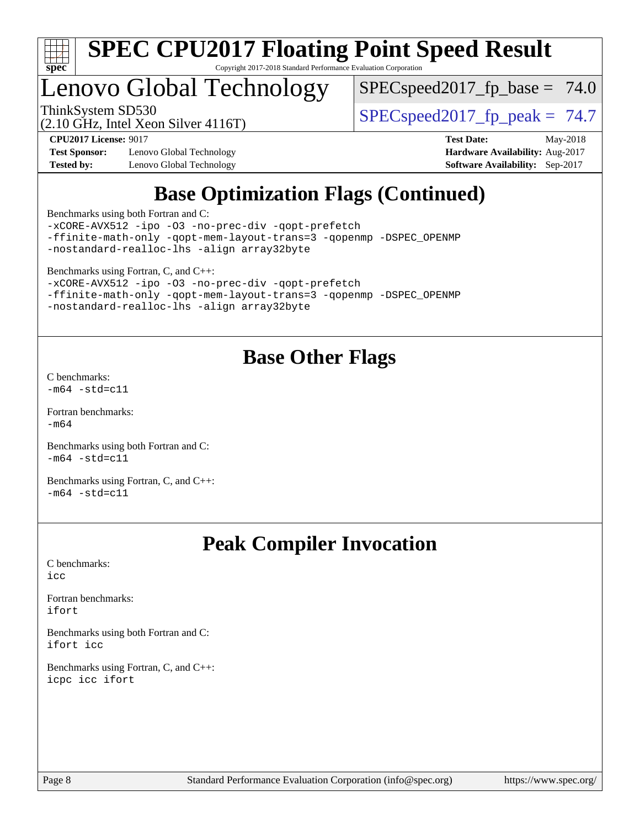

# Lenovo Global Technology

 $SPECspeed2017_fp\_base = 74.0$ 

(2.10 GHz, Intel Xeon Silver 4116T)

ThinkSystem SD530<br>(2.10 GHz, Intel Yean Silver 4116T) [SPECspeed2017\\_fp\\_peak =](http://www.spec.org/auto/cpu2017/Docs/result-fields.html#SPECspeed2017fppeak) 74.7

**[Test Sponsor:](http://www.spec.org/auto/cpu2017/Docs/result-fields.html#TestSponsor)** Lenovo Global Technology **[Hardware Availability:](http://www.spec.org/auto/cpu2017/Docs/result-fields.html#HardwareAvailability)** Aug-2017 **[Tested by:](http://www.spec.org/auto/cpu2017/Docs/result-fields.html#Testedby)** Lenovo Global Technology **[Software Availability:](http://www.spec.org/auto/cpu2017/Docs/result-fields.html#SoftwareAvailability)** Sep-2017

**[CPU2017 License:](http://www.spec.org/auto/cpu2017/Docs/result-fields.html#CPU2017License)** 9017 **[Test Date:](http://www.spec.org/auto/cpu2017/Docs/result-fields.html#TestDate)** May-2018

## **[Base Optimization Flags \(Continued\)](http://www.spec.org/auto/cpu2017/Docs/result-fields.html#BaseOptimizationFlags)**

[Benchmarks using both Fortran and C](http://www.spec.org/auto/cpu2017/Docs/result-fields.html#BenchmarksusingbothFortranandC):

[-xCORE-AVX512](http://www.spec.org/cpu2017/results/res2018q2/cpu2017-20180513-05482.flags.html#user_CC_FCbase_f-xCORE-AVX512) [-ipo](http://www.spec.org/cpu2017/results/res2018q2/cpu2017-20180513-05482.flags.html#user_CC_FCbase_f-ipo) [-O3](http://www.spec.org/cpu2017/results/res2018q2/cpu2017-20180513-05482.flags.html#user_CC_FCbase_f-O3) [-no-prec-div](http://www.spec.org/cpu2017/results/res2018q2/cpu2017-20180513-05482.flags.html#user_CC_FCbase_f-no-prec-div) [-qopt-prefetch](http://www.spec.org/cpu2017/results/res2018q2/cpu2017-20180513-05482.flags.html#user_CC_FCbase_f-qopt-prefetch) [-ffinite-math-only](http://www.spec.org/cpu2017/results/res2018q2/cpu2017-20180513-05482.flags.html#user_CC_FCbase_f_finite_math_only_cb91587bd2077682c4b38af759c288ed7c732db004271a9512da14a4f8007909a5f1427ecbf1a0fb78ff2a814402c6114ac565ca162485bbcae155b5e4258871) [-qopt-mem-layout-trans=3](http://www.spec.org/cpu2017/results/res2018q2/cpu2017-20180513-05482.flags.html#user_CC_FCbase_f-qopt-mem-layout-trans_de80db37974c74b1f0e20d883f0b675c88c3b01e9d123adea9b28688d64333345fb62bc4a798493513fdb68f60282f9a726aa07f478b2f7113531aecce732043) [-qopenmp](http://www.spec.org/cpu2017/results/res2018q2/cpu2017-20180513-05482.flags.html#user_CC_FCbase_qopenmp_16be0c44f24f464004c6784a7acb94aca937f053568ce72f94b139a11c7c168634a55f6653758ddd83bcf7b8463e8028bb0b48b77bcddc6b78d5d95bb1df2967) [-DSPEC\\_OPENMP](http://www.spec.org/cpu2017/results/res2018q2/cpu2017-20180513-05482.flags.html#suite_CC_FCbase_DSPEC_OPENMP) [-nostandard-realloc-lhs](http://www.spec.org/cpu2017/results/res2018q2/cpu2017-20180513-05482.flags.html#user_CC_FCbase_f_2003_std_realloc_82b4557e90729c0f113870c07e44d33d6f5a304b4f63d4c15d2d0f1fab99f5daaed73bdb9275d9ae411527f28b936061aa8b9c8f2d63842963b95c9dd6426b8a) [-align array32byte](http://www.spec.org/cpu2017/results/res2018q2/cpu2017-20180513-05482.flags.html#user_CC_FCbase_align_array32byte_b982fe038af199962ba9a80c053b8342c548c85b40b8e86eb3cc33dee0d7986a4af373ac2d51c3f7cf710a18d62fdce2948f201cd044323541f22fc0fffc51b6)

[Benchmarks using Fortran, C, and C++:](http://www.spec.org/auto/cpu2017/Docs/result-fields.html#BenchmarksusingFortranCandCXX)

[-xCORE-AVX512](http://www.spec.org/cpu2017/results/res2018q2/cpu2017-20180513-05482.flags.html#user_CC_CXX_FCbase_f-xCORE-AVX512) [-ipo](http://www.spec.org/cpu2017/results/res2018q2/cpu2017-20180513-05482.flags.html#user_CC_CXX_FCbase_f-ipo) [-O3](http://www.spec.org/cpu2017/results/res2018q2/cpu2017-20180513-05482.flags.html#user_CC_CXX_FCbase_f-O3) [-no-prec-div](http://www.spec.org/cpu2017/results/res2018q2/cpu2017-20180513-05482.flags.html#user_CC_CXX_FCbase_f-no-prec-div) [-qopt-prefetch](http://www.spec.org/cpu2017/results/res2018q2/cpu2017-20180513-05482.flags.html#user_CC_CXX_FCbase_f-qopt-prefetch) [-ffinite-math-only](http://www.spec.org/cpu2017/results/res2018q2/cpu2017-20180513-05482.flags.html#user_CC_CXX_FCbase_f_finite_math_only_cb91587bd2077682c4b38af759c288ed7c732db004271a9512da14a4f8007909a5f1427ecbf1a0fb78ff2a814402c6114ac565ca162485bbcae155b5e4258871) [-qopt-mem-layout-trans=3](http://www.spec.org/cpu2017/results/res2018q2/cpu2017-20180513-05482.flags.html#user_CC_CXX_FCbase_f-qopt-mem-layout-trans_de80db37974c74b1f0e20d883f0b675c88c3b01e9d123adea9b28688d64333345fb62bc4a798493513fdb68f60282f9a726aa07f478b2f7113531aecce732043) [-qopenmp](http://www.spec.org/cpu2017/results/res2018q2/cpu2017-20180513-05482.flags.html#user_CC_CXX_FCbase_qopenmp_16be0c44f24f464004c6784a7acb94aca937f053568ce72f94b139a11c7c168634a55f6653758ddd83bcf7b8463e8028bb0b48b77bcddc6b78d5d95bb1df2967) [-DSPEC\\_OPENMP](http://www.spec.org/cpu2017/results/res2018q2/cpu2017-20180513-05482.flags.html#suite_CC_CXX_FCbase_DSPEC_OPENMP) [-nostandard-realloc-lhs](http://www.spec.org/cpu2017/results/res2018q2/cpu2017-20180513-05482.flags.html#user_CC_CXX_FCbase_f_2003_std_realloc_82b4557e90729c0f113870c07e44d33d6f5a304b4f63d4c15d2d0f1fab99f5daaed73bdb9275d9ae411527f28b936061aa8b9c8f2d63842963b95c9dd6426b8a) [-align array32byte](http://www.spec.org/cpu2017/results/res2018q2/cpu2017-20180513-05482.flags.html#user_CC_CXX_FCbase_align_array32byte_b982fe038af199962ba9a80c053b8342c548c85b40b8e86eb3cc33dee0d7986a4af373ac2d51c3f7cf710a18d62fdce2948f201cd044323541f22fc0fffc51b6)

## **[Base Other Flags](http://www.spec.org/auto/cpu2017/Docs/result-fields.html#BaseOtherFlags)**

[C benchmarks](http://www.spec.org/auto/cpu2017/Docs/result-fields.html#Cbenchmarks):  $-m64 - std= c11$  $-m64 - std= c11$ 

[Fortran benchmarks](http://www.spec.org/auto/cpu2017/Docs/result-fields.html#Fortranbenchmarks): [-m64](http://www.spec.org/cpu2017/results/res2018q2/cpu2017-20180513-05482.flags.html#user_FCbase_intel_intel64_18.0_af43caccfc8ded86e7699f2159af6efc7655f51387b94da716254467f3c01020a5059329e2569e4053f409e7c9202a7efc638f7a6d1ffb3f52dea4a3e31d82ab)

[Benchmarks using both Fortran and C](http://www.spec.org/auto/cpu2017/Docs/result-fields.html#BenchmarksusingbothFortranandC):  $-m64 - std= c11$  $-m64 - std= c11$ 

[Benchmarks using Fortran, C, and C++:](http://www.spec.org/auto/cpu2017/Docs/result-fields.html#BenchmarksusingFortranCandCXX)  $-m64 - std= c11$  $-m64 - std= c11$ 

## **[Peak Compiler Invocation](http://www.spec.org/auto/cpu2017/Docs/result-fields.html#PeakCompilerInvocation)**

[C benchmarks](http://www.spec.org/auto/cpu2017/Docs/result-fields.html#Cbenchmarks): [icc](http://www.spec.org/cpu2017/results/res2018q2/cpu2017-20180513-05482.flags.html#user_CCpeak_intel_icc_18.0_66fc1ee009f7361af1fbd72ca7dcefbb700085f36577c54f309893dd4ec40d12360134090235512931783d35fd58c0460139e722d5067c5574d8eaf2b3e37e92)

[Fortran benchmarks](http://www.spec.org/auto/cpu2017/Docs/result-fields.html#Fortranbenchmarks): [ifort](http://www.spec.org/cpu2017/results/res2018q2/cpu2017-20180513-05482.flags.html#user_FCpeak_intel_ifort_18.0_8111460550e3ca792625aed983ce982f94888b8b503583aa7ba2b8303487b4d8a21a13e7191a45c5fd58ff318f48f9492884d4413fa793fd88dd292cad7027ca)

[Benchmarks using both Fortran and C](http://www.spec.org/auto/cpu2017/Docs/result-fields.html#BenchmarksusingbothFortranandC): [ifort](http://www.spec.org/cpu2017/results/res2018q2/cpu2017-20180513-05482.flags.html#user_CC_FCpeak_intel_ifort_18.0_8111460550e3ca792625aed983ce982f94888b8b503583aa7ba2b8303487b4d8a21a13e7191a45c5fd58ff318f48f9492884d4413fa793fd88dd292cad7027ca) [icc](http://www.spec.org/cpu2017/results/res2018q2/cpu2017-20180513-05482.flags.html#user_CC_FCpeak_intel_icc_18.0_66fc1ee009f7361af1fbd72ca7dcefbb700085f36577c54f309893dd4ec40d12360134090235512931783d35fd58c0460139e722d5067c5574d8eaf2b3e37e92)

[Benchmarks using Fortran, C, and C++:](http://www.spec.org/auto/cpu2017/Docs/result-fields.html#BenchmarksusingFortranCandCXX) [icpc](http://www.spec.org/cpu2017/results/res2018q2/cpu2017-20180513-05482.flags.html#user_CC_CXX_FCpeak_intel_icpc_18.0_c510b6838c7f56d33e37e94d029a35b4a7bccf4766a728ee175e80a419847e808290a9b78be685c44ab727ea267ec2f070ec5dc83b407c0218cded6866a35d07) [icc](http://www.spec.org/cpu2017/results/res2018q2/cpu2017-20180513-05482.flags.html#user_CC_CXX_FCpeak_intel_icc_18.0_66fc1ee009f7361af1fbd72ca7dcefbb700085f36577c54f309893dd4ec40d12360134090235512931783d35fd58c0460139e722d5067c5574d8eaf2b3e37e92) [ifort](http://www.spec.org/cpu2017/results/res2018q2/cpu2017-20180513-05482.flags.html#user_CC_CXX_FCpeak_intel_ifort_18.0_8111460550e3ca792625aed983ce982f94888b8b503583aa7ba2b8303487b4d8a21a13e7191a45c5fd58ff318f48f9492884d4413fa793fd88dd292cad7027ca)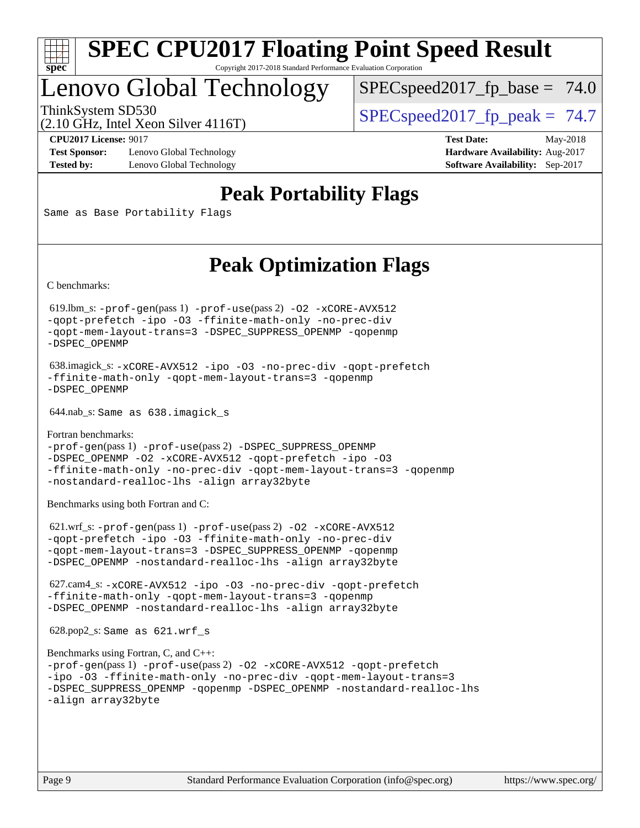

## Lenovo Global Technology

 $SPECspeed2017_fp\_base = 74.0$ 

(2.10 GHz, Intel Xeon Silver 4116T)

ThinkSystem SD530  $SPIz$  Intel Year Silver 4116T)  $SPEC speed2017$  fp\_peak = 74.7

**[Test Sponsor:](http://www.spec.org/auto/cpu2017/Docs/result-fields.html#TestSponsor)** Lenovo Global Technology **[Hardware Availability:](http://www.spec.org/auto/cpu2017/Docs/result-fields.html#HardwareAvailability)** Aug-2017 **[Tested by:](http://www.spec.org/auto/cpu2017/Docs/result-fields.html#Testedby)** Lenovo Global Technology **[Software Availability:](http://www.spec.org/auto/cpu2017/Docs/result-fields.html#SoftwareAvailability)** Sep-2017

**[CPU2017 License:](http://www.spec.org/auto/cpu2017/Docs/result-fields.html#CPU2017License)** 9017 **[Test Date:](http://www.spec.org/auto/cpu2017/Docs/result-fields.html#TestDate)** May-2018

## **[Peak Portability Flags](http://www.spec.org/auto/cpu2017/Docs/result-fields.html#PeakPortabilityFlags)**

Same as Base Portability Flags

## **[Peak Optimization Flags](http://www.spec.org/auto/cpu2017/Docs/result-fields.html#PeakOptimizationFlags)**

[C benchmarks](http://www.spec.org/auto/cpu2017/Docs/result-fields.html#Cbenchmarks):

 619.lbm\_s: [-prof-gen](http://www.spec.org/cpu2017/results/res2018q2/cpu2017-20180513-05482.flags.html#user_peakPASS1_CFLAGSPASS1_LDFLAGS619_lbm_s_prof_gen_5aa4926d6013ddb2a31985c654b3eb18169fc0c6952a63635c234f711e6e63dd76e94ad52365559451ec499a2cdb89e4dc58ba4c67ef54ca681ffbe1461d6b36)(pass 1) [-prof-use](http://www.spec.org/cpu2017/results/res2018q2/cpu2017-20180513-05482.flags.html#user_peakPASS2_CFLAGSPASS2_LDFLAGS619_lbm_s_prof_use_1a21ceae95f36a2b53c25747139a6c16ca95bd9def2a207b4f0849963b97e94f5260e30a0c64f4bb623698870e679ca08317ef8150905d41bd88c6f78df73f19)(pass 2) [-O2](http://www.spec.org/cpu2017/results/res2018q2/cpu2017-20180513-05482.flags.html#user_peakPASS1_COPTIMIZE619_lbm_s_f-O2) [-xCORE-AVX512](http://www.spec.org/cpu2017/results/res2018q2/cpu2017-20180513-05482.flags.html#user_peakPASS2_COPTIMIZE619_lbm_s_f-xCORE-AVX512) [-qopt-prefetch](http://www.spec.org/cpu2017/results/res2018q2/cpu2017-20180513-05482.flags.html#user_peakPASS1_COPTIMIZEPASS2_COPTIMIZE619_lbm_s_f-qopt-prefetch) [-ipo](http://www.spec.org/cpu2017/results/res2018q2/cpu2017-20180513-05482.flags.html#user_peakPASS2_COPTIMIZE619_lbm_s_f-ipo) [-O3](http://www.spec.org/cpu2017/results/res2018q2/cpu2017-20180513-05482.flags.html#user_peakPASS2_COPTIMIZE619_lbm_s_f-O3) [-ffinite-math-only](http://www.spec.org/cpu2017/results/res2018q2/cpu2017-20180513-05482.flags.html#user_peakPASS1_COPTIMIZEPASS2_COPTIMIZE619_lbm_s_f_finite_math_only_cb91587bd2077682c4b38af759c288ed7c732db004271a9512da14a4f8007909a5f1427ecbf1a0fb78ff2a814402c6114ac565ca162485bbcae155b5e4258871) [-no-prec-div](http://www.spec.org/cpu2017/results/res2018q2/cpu2017-20180513-05482.flags.html#user_peakPASS2_COPTIMIZE619_lbm_s_f-no-prec-div) [-qopt-mem-layout-trans=3](http://www.spec.org/cpu2017/results/res2018q2/cpu2017-20180513-05482.flags.html#user_peakPASS1_COPTIMIZEPASS2_COPTIMIZE619_lbm_s_f-qopt-mem-layout-trans_de80db37974c74b1f0e20d883f0b675c88c3b01e9d123adea9b28688d64333345fb62bc4a798493513fdb68f60282f9a726aa07f478b2f7113531aecce732043) [-DSPEC\\_SUPPRESS\\_OPENMP](http://www.spec.org/cpu2017/results/res2018q2/cpu2017-20180513-05482.flags.html#suite_peakPASS1_COPTIMIZE619_lbm_s_DSPEC_SUPPRESS_OPENMP) [-qopenmp](http://www.spec.org/cpu2017/results/res2018q2/cpu2017-20180513-05482.flags.html#user_peakPASS2_COPTIMIZE619_lbm_s_qopenmp_16be0c44f24f464004c6784a7acb94aca937f053568ce72f94b139a11c7c168634a55f6653758ddd83bcf7b8463e8028bb0b48b77bcddc6b78d5d95bb1df2967) [-DSPEC\\_OPENMP](http://www.spec.org/cpu2017/results/res2018q2/cpu2017-20180513-05482.flags.html#suite_peakPASS2_COPTIMIZE619_lbm_s_DSPEC_OPENMP)

 638.imagick\_s: [-xCORE-AVX512](http://www.spec.org/cpu2017/results/res2018q2/cpu2017-20180513-05482.flags.html#user_peakCOPTIMIZE638_imagick_s_f-xCORE-AVX512) [-ipo](http://www.spec.org/cpu2017/results/res2018q2/cpu2017-20180513-05482.flags.html#user_peakCOPTIMIZE638_imagick_s_f-ipo) [-O3](http://www.spec.org/cpu2017/results/res2018q2/cpu2017-20180513-05482.flags.html#user_peakCOPTIMIZE638_imagick_s_f-O3) [-no-prec-div](http://www.spec.org/cpu2017/results/res2018q2/cpu2017-20180513-05482.flags.html#user_peakCOPTIMIZE638_imagick_s_f-no-prec-div) [-qopt-prefetch](http://www.spec.org/cpu2017/results/res2018q2/cpu2017-20180513-05482.flags.html#user_peakCOPTIMIZE638_imagick_s_f-qopt-prefetch) [-ffinite-math-only](http://www.spec.org/cpu2017/results/res2018q2/cpu2017-20180513-05482.flags.html#user_peakCOPTIMIZE638_imagick_s_f_finite_math_only_cb91587bd2077682c4b38af759c288ed7c732db004271a9512da14a4f8007909a5f1427ecbf1a0fb78ff2a814402c6114ac565ca162485bbcae155b5e4258871) [-qopt-mem-layout-trans=3](http://www.spec.org/cpu2017/results/res2018q2/cpu2017-20180513-05482.flags.html#user_peakCOPTIMIZE638_imagick_s_f-qopt-mem-layout-trans_de80db37974c74b1f0e20d883f0b675c88c3b01e9d123adea9b28688d64333345fb62bc4a798493513fdb68f60282f9a726aa07f478b2f7113531aecce732043) [-qopenmp](http://www.spec.org/cpu2017/results/res2018q2/cpu2017-20180513-05482.flags.html#user_peakCOPTIMIZE638_imagick_s_qopenmp_16be0c44f24f464004c6784a7acb94aca937f053568ce72f94b139a11c7c168634a55f6653758ddd83bcf7b8463e8028bb0b48b77bcddc6b78d5d95bb1df2967) [-DSPEC\\_OPENMP](http://www.spec.org/cpu2017/results/res2018q2/cpu2017-20180513-05482.flags.html#suite_peakCOPTIMIZE638_imagick_s_DSPEC_OPENMP)

644.nab\_s: Same as 638.imagick\_s

[Fortran benchmarks](http://www.spec.org/auto/cpu2017/Docs/result-fields.html#Fortranbenchmarks): [-prof-gen](http://www.spec.org/cpu2017/results/res2018q2/cpu2017-20180513-05482.flags.html#user_FCpeak_prof_gen_5aa4926d6013ddb2a31985c654b3eb18169fc0c6952a63635c234f711e6e63dd76e94ad52365559451ec499a2cdb89e4dc58ba4c67ef54ca681ffbe1461d6b36)(pass 1) [-prof-use](http://www.spec.org/cpu2017/results/res2018q2/cpu2017-20180513-05482.flags.html#user_FCpeak_prof_use_1a21ceae95f36a2b53c25747139a6c16ca95bd9def2a207b4f0849963b97e94f5260e30a0c64f4bb623698870e679ca08317ef8150905d41bd88c6f78df73f19)(pass 2) [-DSPEC\\_SUPPRESS\\_OPENMP](http://www.spec.org/cpu2017/results/res2018q2/cpu2017-20180513-05482.flags.html#suite_FCpeak_DSPEC_SUPPRESS_OPENMP) [-DSPEC\\_OPENMP](http://www.spec.org/cpu2017/results/res2018q2/cpu2017-20180513-05482.flags.html#suite_FCpeak_DSPEC_OPENMP) [-O2](http://www.spec.org/cpu2017/results/res2018q2/cpu2017-20180513-05482.flags.html#user_FCpeak_f-O2) [-xCORE-AVX512](http://www.spec.org/cpu2017/results/res2018q2/cpu2017-20180513-05482.flags.html#user_FCpeak_f-xCORE-AVX512) [-qopt-prefetch](http://www.spec.org/cpu2017/results/res2018q2/cpu2017-20180513-05482.flags.html#user_FCpeak_f-qopt-prefetch) [-ipo](http://www.spec.org/cpu2017/results/res2018q2/cpu2017-20180513-05482.flags.html#user_FCpeak_f-ipo) [-O3](http://www.spec.org/cpu2017/results/res2018q2/cpu2017-20180513-05482.flags.html#user_FCpeak_f-O3) [-ffinite-math-only](http://www.spec.org/cpu2017/results/res2018q2/cpu2017-20180513-05482.flags.html#user_FCpeak_f_finite_math_only_cb91587bd2077682c4b38af759c288ed7c732db004271a9512da14a4f8007909a5f1427ecbf1a0fb78ff2a814402c6114ac565ca162485bbcae155b5e4258871) [-no-prec-div](http://www.spec.org/cpu2017/results/res2018q2/cpu2017-20180513-05482.flags.html#user_FCpeak_f-no-prec-div) [-qopt-mem-layout-trans=3](http://www.spec.org/cpu2017/results/res2018q2/cpu2017-20180513-05482.flags.html#user_FCpeak_f-qopt-mem-layout-trans_de80db37974c74b1f0e20d883f0b675c88c3b01e9d123adea9b28688d64333345fb62bc4a798493513fdb68f60282f9a726aa07f478b2f7113531aecce732043) [-qopenmp](http://www.spec.org/cpu2017/results/res2018q2/cpu2017-20180513-05482.flags.html#user_FCpeak_qopenmp_16be0c44f24f464004c6784a7acb94aca937f053568ce72f94b139a11c7c168634a55f6653758ddd83bcf7b8463e8028bb0b48b77bcddc6b78d5d95bb1df2967) [-nostandard-realloc-lhs](http://www.spec.org/cpu2017/results/res2018q2/cpu2017-20180513-05482.flags.html#user_FCpeak_f_2003_std_realloc_82b4557e90729c0f113870c07e44d33d6f5a304b4f63d4c15d2d0f1fab99f5daaed73bdb9275d9ae411527f28b936061aa8b9c8f2d63842963b95c9dd6426b8a) [-align array32byte](http://www.spec.org/cpu2017/results/res2018q2/cpu2017-20180513-05482.flags.html#user_FCpeak_align_array32byte_b982fe038af199962ba9a80c053b8342c548c85b40b8e86eb3cc33dee0d7986a4af373ac2d51c3f7cf710a18d62fdce2948f201cd044323541f22fc0fffc51b6)

[Benchmarks using both Fortran and C](http://www.spec.org/auto/cpu2017/Docs/result-fields.html#BenchmarksusingbothFortranandC):

 621.wrf\_s: [-prof-gen](http://www.spec.org/cpu2017/results/res2018q2/cpu2017-20180513-05482.flags.html#user_peakPASS1_CFLAGSPASS1_FFLAGSPASS1_LDFLAGS621_wrf_s_prof_gen_5aa4926d6013ddb2a31985c654b3eb18169fc0c6952a63635c234f711e6e63dd76e94ad52365559451ec499a2cdb89e4dc58ba4c67ef54ca681ffbe1461d6b36)(pass 1) [-prof-use](http://www.spec.org/cpu2017/results/res2018q2/cpu2017-20180513-05482.flags.html#user_peakPASS2_CFLAGSPASS2_FFLAGSPASS2_LDFLAGS621_wrf_s_prof_use_1a21ceae95f36a2b53c25747139a6c16ca95bd9def2a207b4f0849963b97e94f5260e30a0c64f4bb623698870e679ca08317ef8150905d41bd88c6f78df73f19)(pass 2) [-O2](http://www.spec.org/cpu2017/results/res2018q2/cpu2017-20180513-05482.flags.html#user_peakPASS1_COPTIMIZEPASS1_FOPTIMIZE621_wrf_s_f-O2) [-xCORE-AVX512](http://www.spec.org/cpu2017/results/res2018q2/cpu2017-20180513-05482.flags.html#user_peakPASS2_COPTIMIZEPASS2_FOPTIMIZE621_wrf_s_f-xCORE-AVX512) [-qopt-prefetch](http://www.spec.org/cpu2017/results/res2018q2/cpu2017-20180513-05482.flags.html#user_peakPASS1_COPTIMIZEPASS1_FOPTIMIZEPASS2_COPTIMIZEPASS2_FOPTIMIZE621_wrf_s_f-qopt-prefetch) [-ipo](http://www.spec.org/cpu2017/results/res2018q2/cpu2017-20180513-05482.flags.html#user_peakPASS2_COPTIMIZEPASS2_FOPTIMIZE621_wrf_s_f-ipo) [-O3](http://www.spec.org/cpu2017/results/res2018q2/cpu2017-20180513-05482.flags.html#user_peakPASS2_COPTIMIZEPASS2_FOPTIMIZE621_wrf_s_f-O3) [-ffinite-math-only](http://www.spec.org/cpu2017/results/res2018q2/cpu2017-20180513-05482.flags.html#user_peakPASS1_COPTIMIZEPASS1_FOPTIMIZEPASS2_COPTIMIZEPASS2_FOPTIMIZE621_wrf_s_f_finite_math_only_cb91587bd2077682c4b38af759c288ed7c732db004271a9512da14a4f8007909a5f1427ecbf1a0fb78ff2a814402c6114ac565ca162485bbcae155b5e4258871) [-no-prec-div](http://www.spec.org/cpu2017/results/res2018q2/cpu2017-20180513-05482.flags.html#user_peakPASS2_COPTIMIZEPASS2_FOPTIMIZE621_wrf_s_f-no-prec-div) [-qopt-mem-layout-trans=3](http://www.spec.org/cpu2017/results/res2018q2/cpu2017-20180513-05482.flags.html#user_peakPASS1_COPTIMIZEPASS1_FOPTIMIZEPASS2_COPTIMIZEPASS2_FOPTIMIZE621_wrf_s_f-qopt-mem-layout-trans_de80db37974c74b1f0e20d883f0b675c88c3b01e9d123adea9b28688d64333345fb62bc4a798493513fdb68f60282f9a726aa07f478b2f7113531aecce732043) [-DSPEC\\_SUPPRESS\\_OPENMP](http://www.spec.org/cpu2017/results/res2018q2/cpu2017-20180513-05482.flags.html#suite_peakPASS1_COPTIMIZEPASS1_FOPTIMIZE621_wrf_s_DSPEC_SUPPRESS_OPENMP) [-qopenmp](http://www.spec.org/cpu2017/results/res2018q2/cpu2017-20180513-05482.flags.html#user_peakPASS2_COPTIMIZEPASS2_FOPTIMIZE621_wrf_s_qopenmp_16be0c44f24f464004c6784a7acb94aca937f053568ce72f94b139a11c7c168634a55f6653758ddd83bcf7b8463e8028bb0b48b77bcddc6b78d5d95bb1df2967) [-DSPEC\\_OPENMP](http://www.spec.org/cpu2017/results/res2018q2/cpu2017-20180513-05482.flags.html#suite_peakPASS2_COPTIMIZEPASS2_FOPTIMIZE621_wrf_s_DSPEC_OPENMP) [-nostandard-realloc-lhs](http://www.spec.org/cpu2017/results/res2018q2/cpu2017-20180513-05482.flags.html#user_peakEXTRA_FOPTIMIZE621_wrf_s_f_2003_std_realloc_82b4557e90729c0f113870c07e44d33d6f5a304b4f63d4c15d2d0f1fab99f5daaed73bdb9275d9ae411527f28b936061aa8b9c8f2d63842963b95c9dd6426b8a) [-align array32byte](http://www.spec.org/cpu2017/results/res2018q2/cpu2017-20180513-05482.flags.html#user_peakEXTRA_FOPTIMIZE621_wrf_s_align_array32byte_b982fe038af199962ba9a80c053b8342c548c85b40b8e86eb3cc33dee0d7986a4af373ac2d51c3f7cf710a18d62fdce2948f201cd044323541f22fc0fffc51b6)

 627.cam4\_s: [-xCORE-AVX512](http://www.spec.org/cpu2017/results/res2018q2/cpu2017-20180513-05482.flags.html#user_peakCOPTIMIZEFOPTIMIZE627_cam4_s_f-xCORE-AVX512) [-ipo](http://www.spec.org/cpu2017/results/res2018q2/cpu2017-20180513-05482.flags.html#user_peakCOPTIMIZEFOPTIMIZE627_cam4_s_f-ipo) [-O3](http://www.spec.org/cpu2017/results/res2018q2/cpu2017-20180513-05482.flags.html#user_peakCOPTIMIZEFOPTIMIZE627_cam4_s_f-O3) [-no-prec-div](http://www.spec.org/cpu2017/results/res2018q2/cpu2017-20180513-05482.flags.html#user_peakCOPTIMIZEFOPTIMIZE627_cam4_s_f-no-prec-div) [-qopt-prefetch](http://www.spec.org/cpu2017/results/res2018q2/cpu2017-20180513-05482.flags.html#user_peakCOPTIMIZEFOPTIMIZE627_cam4_s_f-qopt-prefetch) [-ffinite-math-only](http://www.spec.org/cpu2017/results/res2018q2/cpu2017-20180513-05482.flags.html#user_peakCOPTIMIZEFOPTIMIZE627_cam4_s_f_finite_math_only_cb91587bd2077682c4b38af759c288ed7c732db004271a9512da14a4f8007909a5f1427ecbf1a0fb78ff2a814402c6114ac565ca162485bbcae155b5e4258871) [-qopt-mem-layout-trans=3](http://www.spec.org/cpu2017/results/res2018q2/cpu2017-20180513-05482.flags.html#user_peakCOPTIMIZEFOPTIMIZE627_cam4_s_f-qopt-mem-layout-trans_de80db37974c74b1f0e20d883f0b675c88c3b01e9d123adea9b28688d64333345fb62bc4a798493513fdb68f60282f9a726aa07f478b2f7113531aecce732043) [-qopenmp](http://www.spec.org/cpu2017/results/res2018q2/cpu2017-20180513-05482.flags.html#user_peakCOPTIMIZEFOPTIMIZE627_cam4_s_qopenmp_16be0c44f24f464004c6784a7acb94aca937f053568ce72f94b139a11c7c168634a55f6653758ddd83bcf7b8463e8028bb0b48b77bcddc6b78d5d95bb1df2967) [-DSPEC\\_OPENMP](http://www.spec.org/cpu2017/results/res2018q2/cpu2017-20180513-05482.flags.html#suite_peakCOPTIMIZEFOPTIMIZE627_cam4_s_DSPEC_OPENMP) [-nostandard-realloc-lhs](http://www.spec.org/cpu2017/results/res2018q2/cpu2017-20180513-05482.flags.html#user_peakEXTRA_FOPTIMIZE627_cam4_s_f_2003_std_realloc_82b4557e90729c0f113870c07e44d33d6f5a304b4f63d4c15d2d0f1fab99f5daaed73bdb9275d9ae411527f28b936061aa8b9c8f2d63842963b95c9dd6426b8a) [-align array32byte](http://www.spec.org/cpu2017/results/res2018q2/cpu2017-20180513-05482.flags.html#user_peakEXTRA_FOPTIMIZE627_cam4_s_align_array32byte_b982fe038af199962ba9a80c053b8342c548c85b40b8e86eb3cc33dee0d7986a4af373ac2d51c3f7cf710a18d62fdce2948f201cd044323541f22fc0fffc51b6)

628.pop2\_s: Same as 621.wrf\_s

```
Benchmarks using Fortran, C, and C++: 
-prof-gen(pass 1) -prof-use(pass 2) -O2 -xCORE-AVX512 -qopt-prefetch
-ipo -O3 -ffinite-math-only -no-prec-div -qopt-mem-layout-trans=3
-DSPEC_SUPPRESS_OPENMP -qopenmp -DSPEC_OPENMP -nostandard-realloc-lhs
-align array32byte
```